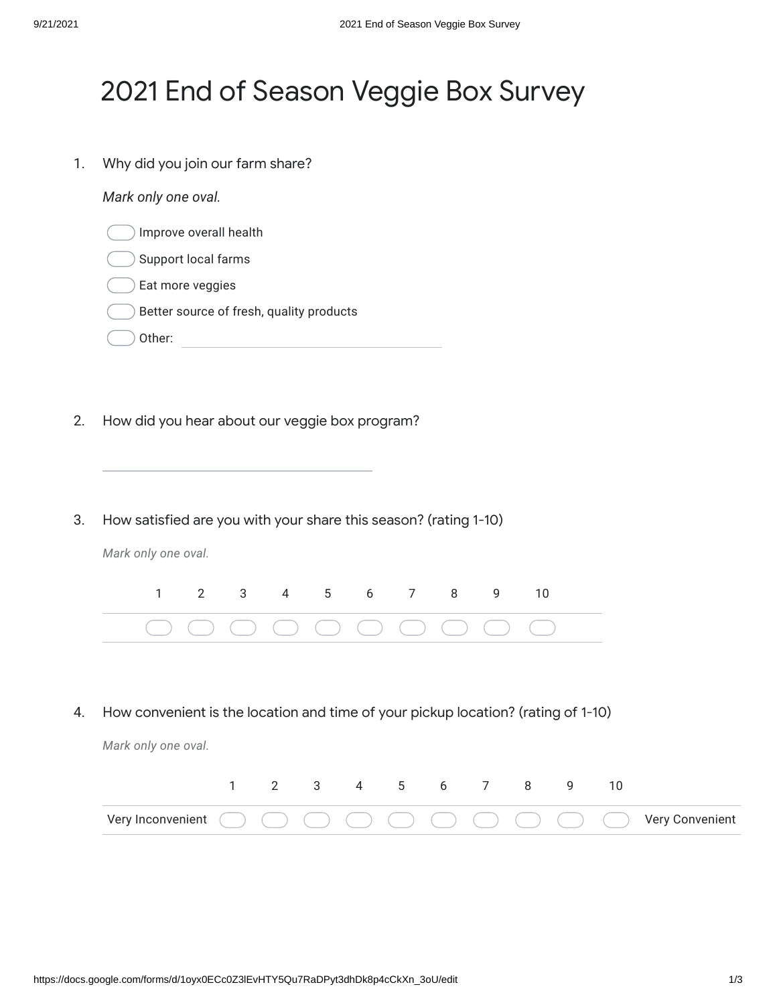## 2021 End of Season Veggie Box Survey

1. Why did you join our farm share?

*Mark only one oval.*

- Improve overall health
- Support local farms
- Eat more veggies
- Better source of fresh, quality products
- Other: when the contract of the contract of the contract of the contract of the contract of the contract of the contract of the contract of the contract of the contract of the contract of the contract of the contract of th
- 2. How did you hear about our veggie box program?
- 3. How satisfied are you with your share this season? (rating 1-10)

*Mark only one oval.*

|  |  |  |  | 1 2 3 4 5 6 7 8 9 10 |  |
|--|--|--|--|----------------------|--|
|  |  |  |  |                      |  |

4. How convenient is the location and time of your pickup location? (rating of 1-10)

*Mark only one oval.*

|                                                                                                                                                                       |  |  | 3 4 5 6 |  |  |  |
|-----------------------------------------------------------------------------------------------------------------------------------------------------------------------|--|--|---------|--|--|--|
| Very Inconvenient $\bigcirc$ $\bigcirc$ $\bigcirc$ $\bigcirc$ $\bigcirc$ $\bigcirc$ $\bigcirc$ $\bigcirc$ $\bigcirc$ $\bigcirc$ $\bigcirc$ $\bigcirc$ Very Convenient |  |  |         |  |  |  |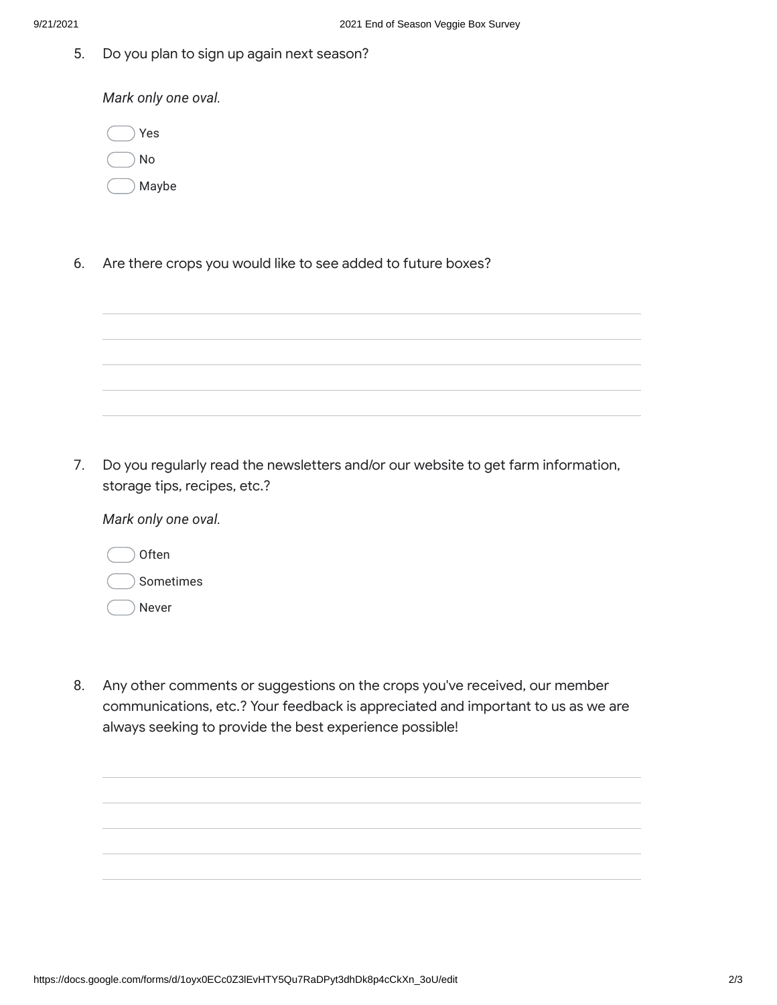5. Do you plan to sign up again next season?

*Mark only one oval.*

| Yes   |
|-------|
| No    |
| Maybe |

6. Are there crops you would like to see added to future boxes?

7. Do you regularly read the newsletters and/or our website to get farm information, storage tips, recipes, etc.?

*Mark only one oval.*

| Often     |
|-----------|
| Sometimes |
| Never     |

8. Any other comments or suggestions on the crops you've received, our member communications, etc.? Your feedback is appreciated and important to us as we are always seeking to provide the best experience possible!